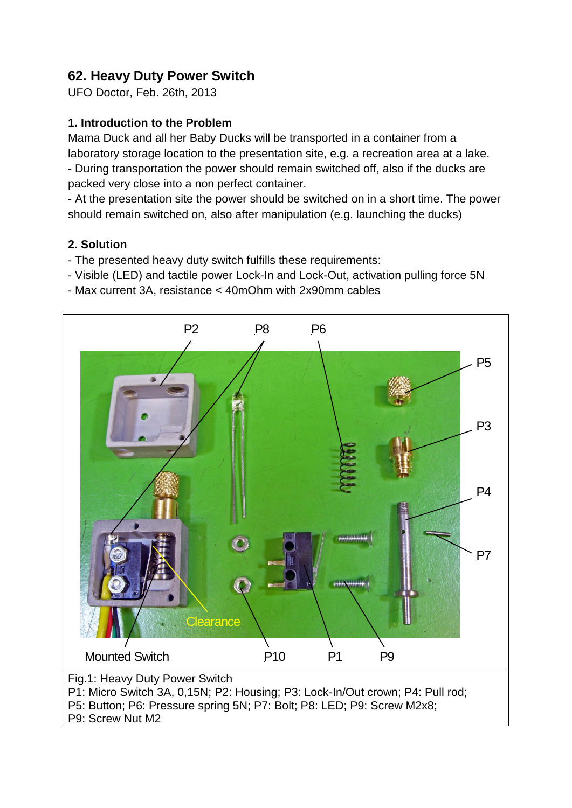## **62. Heavy Duty Power Switch**

UFO Doctor, Feb. 26th, 2013

## **1. Introduction to the Problem**

Mama Duck and all her Baby Ducks will be transported in a container from a laboratory storage location to the presentation site, e.g. a recreation area at a lake. - During transportation the power should remain switched off, also if the ducks are packed very close into a non perfect container.

- At the presentation site the power should be switched on in a short time. The power should remain switched on, also after manipulation (e.g. launching the ducks)

## **2. Solution**

- The presented heavy duty switch fulfills these requirements:
- Visible (LED) and tactile power Lock-In and Lock-Out, activation pulling force 5N
- Max current 3A, resistance < 40mOhm with 2x90mm cables



P9: Screw Nut M2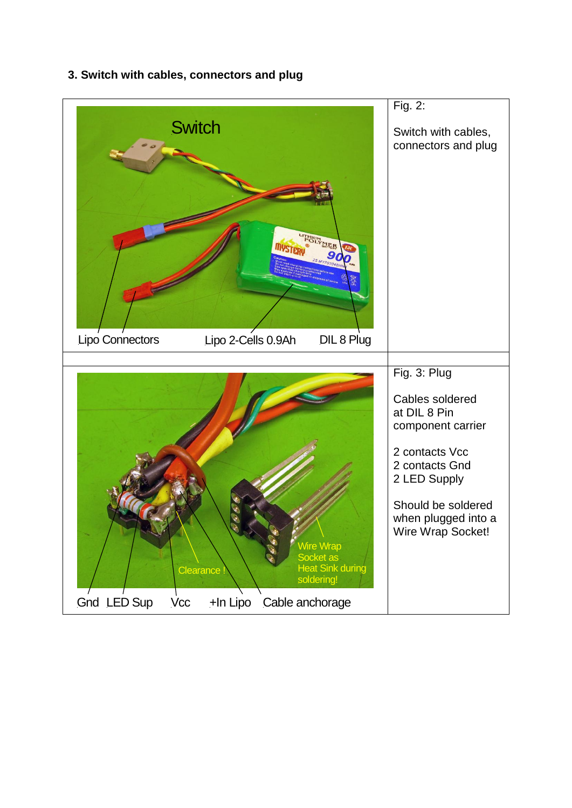

**3. Switch with cables, connectors and plug**